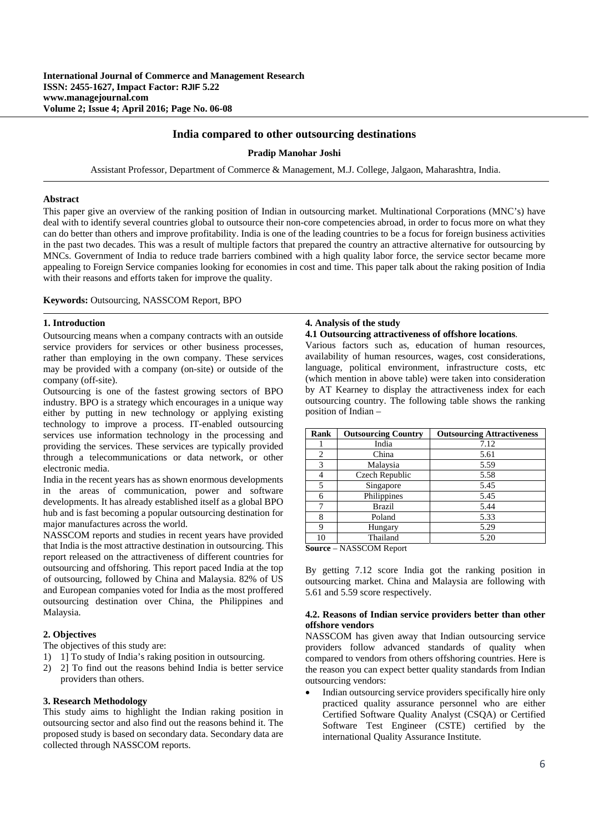## **India compared to other outsourcing destinations**

### **Pradip Manohar Joshi**

Assistant Professor, Department of Commerce & Management, M.J. College, Jalgaon, Maharashtra, India.

### **Abstract**

This paper give an overview of the ranking position of Indian in outsourcing market. Multinational Corporations (MNC's) have deal with to identify several countries global to outsource their non-core competencies abroad, in order to focus more on what they can do better than others and improve profitability. India is one of the leading countries to be a focus for foreign business activities in the past two decades. This was a result of multiple factors that prepared the country an attractive alternative for outsourcing by MNCs. Government of India to reduce trade barriers combined with a high quality labor force, the service sector became more appealing to Foreign Service companies looking for economies in cost and time. This paper talk about the raking position of India with their reasons and efforts taken for improve the quality.

#### **Keywords:** Outsourcing, NASSCOM Report, BPO

### **1. Introduction**

Outsourcing means when a company contracts with an outside service providers for services or other business processes, rather than employing in the own company. These services may be provided with a company (on-site) or outside of the company (off-site).

Outsourcing is one of the fastest growing sectors of BPO industry. BPO is a strategy which encourages in a unique way either by putting in new technology or applying existing technology to improve a process. IT-enabled outsourcing services use information technology in the processing and providing the services. These services are typically provided through a telecommunications or data network, or other electronic media.

India in the recent years has as shown enormous developments in the areas of communication, power and software developments. It has already established itself as a global BPO hub and is fast becoming a popular outsourcing destination for major manufactures across the world.

NASSCOM reports and studies in recent years have provided that India is the most attractive destination in outsourcing. This report released on the attractiveness of different countries for outsourcing and offshoring. This report paced India at the top of outsourcing, followed by China and Malaysia. 82% of US and European companies voted for India as the most proffered outsourcing destination over China, the Philippines and Malaysia.

## **2. Objectives**

The objectives of this study are:

- 1) 1] To study of India's raking position in outsourcing.
- 2) 2] To find out the reasons behind India is better service providers than others.

### **3. Research Methodology**

This study aims to highlight the Indian raking position in outsourcing sector and also find out the reasons behind it. The proposed study is based on secondary data. Secondary data are collected through NASSCOM reports.

# **4. Analysis of the study**

**4.1 Outsourcing attractiveness of offshore locations**.

Various factors such as, education of human resources, availability of human resources, wages, cost considerations, language, political environment, infrastructure costs, etc (which mention in above table) were taken into consideration by AT Kearney to display the attractiveness index for each outsourcing country. The following table shows the ranking position of Indian –

| Rank                | <b>Outsourcing Country</b> | <b>Outsourcing Attractiveness</b> |
|---------------------|----------------------------|-----------------------------------|
|                     | India                      | 7.12                              |
| $\overline{2}$      | China                      | 5.61                              |
| 3                   | Malaysia                   | 5.59                              |
|                     | Czech Republic             | 5.58                              |
| 5                   | Singapore                  | 5.45                              |
| 6                   | Philippines                | 5.45                              |
|                     | Brazil                     | 5.44                              |
| 8                   | Poland                     | 5.33                              |
| 9                   | Hungary                    | 5.29                              |
| 10                  | Thailand                   | 5.20                              |
| $\mathbf{C}$ ------ | $\mathbf{M}$ A CCCOM D     |                                   |

**Source** – NASSCOM Report

By getting 7.12 score India got the ranking position in outsourcing market. China and Malaysia are following with 5.61 and 5.59 score respectively.

### **4.2. Reasons of Indian service providers better than other offshore vendors**

NASSCOM has given away that Indian outsourcing service providers follow advanced standards of quality when compared to vendors from others offshoring countries. Here is the reason you can expect better quality standards from Indian outsourcing vendors:

 Indian outsourcing service providers specifically hire only practiced quality assurance personnel who are either Certified Software Quality Analyst (CSQA) or Certified Software Test Engineer (CSTE) certified by the international Quality Assurance Institute.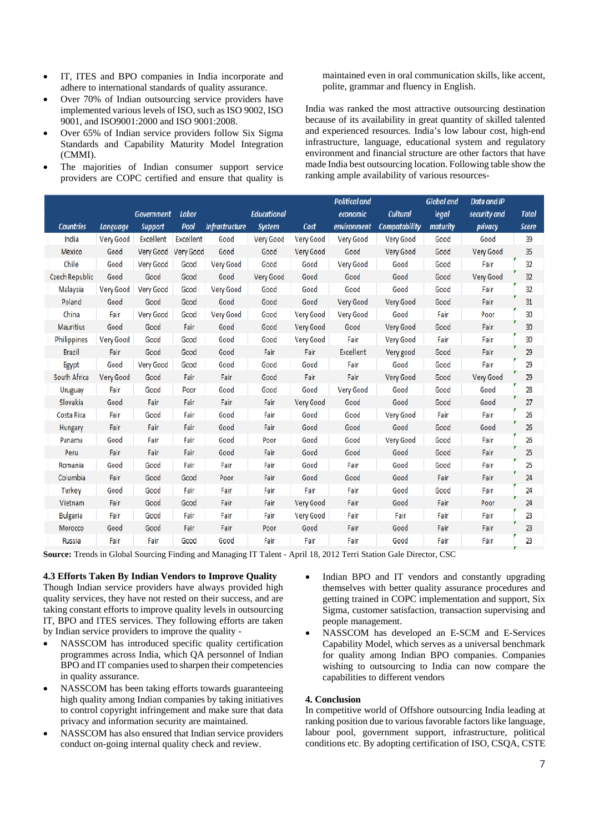- IT, ITES and BPO companies in India incorporate and adhere to international standards of quality assurance.
- Over 70% of Indian outsourcing service providers have implemented various levels of ISO, such as ISO 9002, ISO 9001, and ISO9001:2000 and ISO 9001:2008.
- Over 65% of Indian service providers follow Six Sigma Standards and Capability Maturity Model Integration (CMMI).
- The majorities of Indian consumer support service providers are COPC certified and ensure that quality is

maintained even in oral communication skills, like accent, polite, grammar and fluency in English.

India was ranked the most attractive outsourcing destination because of its availability in great quantity of skilled talented and experienced resources. India's low labour cost, high-end infrastructure, language, educational system and regulatory environment and financial structure are other factors that have made India best outsourcing location. Following table show the ranking ample availability of various resources-

|                    |                  |                   |                  |                       |                    |                  | <b>Political and</b> |                      | <b>Global and</b> | <b>Data and IP</b> |              |
|--------------------|------------------|-------------------|------------------|-----------------------|--------------------|------------------|----------------------|----------------------|-------------------|--------------------|--------------|
|                    |                  | <b>Government</b> | <b>Labor</b>     |                       | <b>Educational</b> |                  | economic             | <b>Cultural</b>      | legal             | security and       | <b>Total</b> |
| <b>Countries</b>   | Language         | <b>Support</b>    | Pool             | <b>Infrastructure</b> | <b>System</b>      | Cost             | environment          | <b>Compatability</b> | maturity          | privacy            | <b>Score</b> |
| India              | <b>Very Good</b> | <b>Excellent</b>  | <b>Excellent</b> | Good                  | <b>Very Good</b>   | <b>Very Good</b> | <b>Very Good</b>     | <b>Very Good</b>     | Good              | Good               | 39           |
| Mexico             | Good             | <b>Very Good</b>  | Very Good        | Good                  | Good               | <b>Very Good</b> | Good                 | Very Good            | Good              | <b>Very Good</b>   | 35           |
| Chile              | Good             | <b>Very Good</b>  | Good             | <b>Very Good</b>      | Good               | Good             | <b>Very Good</b>     | Good                 | Good              | Fair               | 32           |
| Czech Republic     | Good             | Good              | Good             | Good                  | <b>Very Good</b>   | Good             | Good                 | Good                 | Good              | <b>Very Good</b>   | 32           |
| Malaysia           | Very Good        | <b>Very Good</b>  | Good             | <b>Very Good</b>      | Good               | Good             | Good                 | Good                 | Good              | Fair               | 32           |
| Poland             | Good             | Good              | Good             | Good                  | Good               | Good             | <b>Very Good</b>     | <b>Very Good</b>     | Good              | Fair               | 31           |
| China              | Fair             | Very Good         | Good             | Very Good             | Good               | Very Good        | <b>Very Good</b>     | Good                 | Fair              | Poor               | 30           |
| <b>Mauritius</b>   | Good             | Good              | Fair             | Good                  | Good               | <b>Very Good</b> | Good                 | <b>Very Good</b>     | Good              | Fair               | 30           |
| <b>Philippines</b> | <b>Very Good</b> | Good              | Good             | Good                  | Good               | <b>Very Good</b> | Fair                 | <b>Very Good</b>     | Fair              | Fair               | 30           |
| <b>Brazil</b>      | Fair             | Good              | Good             | Good                  | Fair               | Fair             | <b>Excellent</b>     | Very good            | Good              | Fair               | 29           |
| Egypt              | Good             | <b>Very Good</b>  | Good             | Good                  | Good               | Good             | Fair                 | Good                 | Good              | Fair               | 29           |
| South Africa       | Very Good        | Good              | Fair             | Fair                  | Good               | Fair             | Fair                 | <b>Very Good</b>     | Good              | <b>Very Good</b>   | 29           |
| Uruguay            | Fair             | Good              | Poor             | Good                  | Good               | Good             | <b>Very Good</b>     | Good                 | Good              | Good               | 28           |
| Slovakia           | Good             | Fair              | Fair             | Fair                  | Fair               | Very Good        | Good                 | Good                 | Good              | Good               | 27           |
| Costa Rica         | Fair             | Good              | Fair             | Good                  | Fair               | Good             | Good                 | Very Good            | Fair              | Fair               | 26           |
| Hungary            | Fair             | Fair              | Fair             | Good                  | Fair               | Good             | Good                 | Good                 | Good              | Good               | 26           |
| Panama             | Good             | Fair              | Fair             | Good                  | Poor               | Good             | Good                 | Very Good            | Good              | Fair               | 26           |
| Peru               | Fair             | Fair              | Fair             | Good                  | Fair               | Good             | Good                 | Good                 | Good              | Fair               | 25           |
| Romania            | Good             | Good              | Fair             | Fair                  | Fair               | Good             | Fair                 | Good                 | Good              | Fair               | 25           |
| Columbia           | Fair             | Good              | Good             | Poor                  | Fair               | Good             | Good                 | Good                 | Fair              | Fair               | 24           |
| <b>Turkey</b>      | Good             | Good              | Fair             | Fair                  | Fair               | Fair             | Fair                 | Good                 | Good              | Fair               | 24           |
| Vietnam            | Fair             | Good              | Good             | Fair                  | Fair               | Very Good        | Fair                 | Good                 | Fair              | Poor               | 24           |
| <b>Bulgaria</b>    | Fair             | Good              | Fair             | Fair                  | Fair               | <b>Very Good</b> | Fair                 | Fair                 | Fair              | Fair               | 23           |
| Morocco            | Good             | Good              | Fair             | Fair                  | Poor               | Good             | Fair                 | Good                 | Fair              | Fair               | 23           |
| Russia             | Fair             | Fair              | Good             | Good                  | Fair               | Fair             | Fair                 | Good                 | Fair              | Fair               | 23           |

**Source:** Trends in Global Sourcing Finding and Managing IT Talent - April 18, 2012 Terri Station Gale Director, CSC

**4.3 Efforts Taken By Indian Vendors to Improve Quality** 

Though Indian service providers have always provided high quality services, they have not rested on their success, and are taking constant efforts to improve quality levels in outsourcing IT, BPO and ITES services. They following efforts are taken by Indian service providers to improve the quality -

- NASSCOM has introduced specific quality certification programmes across India, which QA personnel of Indian BPO and IT companies used to sharpen their competencies in quality assurance.
- NASSCOM has been taking efforts towards guaranteeing high quality among Indian companies by taking initiatives to control copyright infringement and make sure that data privacy and information security are maintained.
- NASSCOM has also ensured that Indian service providers conduct on-going internal quality check and review.
- Indian BPO and IT vendors and constantly upgrading themselves with better quality assurance procedures and getting trained in COPC implementation and support, Six Sigma, customer satisfaction, transaction supervising and people management.
- NASSCOM has developed an E-SCM and E-Services Capability Model, which serves as a universal benchmark for quality among Indian BPO companies. Companies wishing to outsourcing to India can now compare the capabilities to different vendors

# **4. Conclusion**

In competitive world of Offshore outsourcing India leading at ranking position due to various favorable factors like language, labour pool, government support, infrastructure, political conditions etc. By adopting certification of ISO, CSQA, CSTE